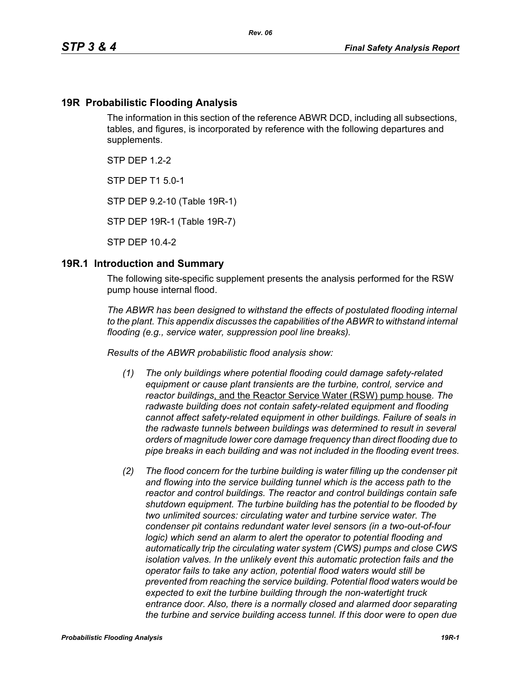### **19R Probabilistic Flooding Analysis**

The information in this section of the reference ABWR DCD, including all subsections, tables, and figures, is incorporated by reference with the following departures and supplements.

 $STP$  DFP 12-2

STP DEP T1 5.0-1

STP DEP 9.2-10 (Table 19R-1)

STP DEP 19R-1 (Table 19R-7)

STP DEP 10.4-2

#### **19R.1 Introduction and Summary**

The following site-specific supplement presents the analysis performed for the RSW pump house internal flood.

*The ABWR has been designed to withstand the effects of postulated flooding internal to the plant. This appendix discusses the capabilities of the ABWR to withstand internal flooding (e.g., service water, suppression pool line breaks).*

*Results of the ABWR probabilistic flood analysis show:*

- *(1) The only buildings where potential flooding could damage safety-related equipment or cause plant transients are the turbine, control, service and reactor buildings*, and the Reactor Service Water (RSW) pump house*. The radwaste building does not contain safety-related equipment and flooding cannot affect safety-related equipment in other buildings. Failure of seals in the radwaste tunnels between buildings was determined to result in several orders of magnitude lower core damage frequency than direct flooding due to pipe breaks in each building and was not included in the flooding event trees.*
- *(2) The flood concern for the turbine building is water filling up the condenser pit and flowing into the service building tunnel which is the access path to the reactor and control buildings. The reactor and control buildings contain safe shutdown equipment. The turbine building has the potential to be flooded by two unlimited sources: circulating water and turbine service water. The condenser pit contains redundant water level sensors (in a two-out-of-four logic)* which send an alarm to alert the operator to potential flooding and *automatically trip the circulating water system (CWS) pumps and close CWS isolation valves. In the unlikely event this automatic protection fails and the operator fails to take any action, potential flood waters would still be prevented from reaching the service building. Potential flood waters would be expected to exit the turbine building through the non-watertight truck entrance door. Also, there is a normally closed and alarmed door separating the turbine and service building access tunnel. If this door were to open due*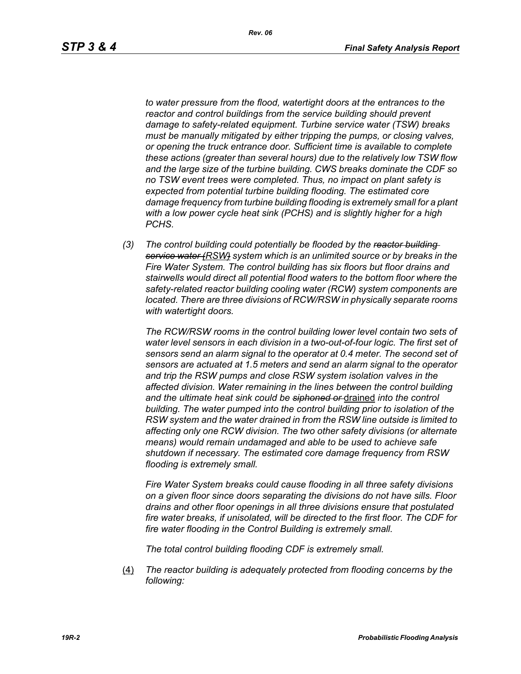*to water pressure from the flood, watertight doors at the entrances to the reactor and control buildings from the service building should prevent damage to safety-related equipment. Turbine service water (TSW) breaks must be manually mitigated by either tripping the pumps, or closing valves, or opening the truck entrance door. Sufficient time is available to complete these actions (greater than several hours) due to the relatively low TSW flow and the large size of the turbine building. CWS breaks dominate the CDF so no TSW event trees were completed. Thus, no impact on plant safety is expected from potential turbine building flooding. The estimated core damage frequency from turbine building flooding is extremely small for a plant with a low power cycle heat sink (PCHS) and is slightly higher for a high PCHS.*

*(3) The control building could potentially be flooded by the reactor building service water (RSW) system which is an unlimited source or by breaks in the Fire Water System. The control building has six floors but floor drains and stairwells would direct all potential flood waters to the bottom floor where the safety-related reactor building cooling water (RCW) system components are located. There are three divisions of RCW/RSW in physically separate rooms with watertight doors.*

*The RCW/RSW rooms in the control building lower level contain two sets of water level sensors in each division in a two-out-of-four logic. The first set of sensors send an alarm signal to the operator at 0.4 meter. The second set of sensors are actuated at 1.5 meters and send an alarm signal to the operator and trip the RSW pumps and close RSW system isolation valves in the affected division. Water remaining in the lines between the control building and the ultimate heat sink could be siphoned or* drained *into the control building. The water pumped into the control building prior to isolation of the RSW system and the water drained in from the RSW line outside is limited to affecting only one RCW division. The two other safety divisions (or alternate means) would remain undamaged and able to be used to achieve safe shutdown if necessary. The estimated core damage frequency from RSW flooding is extremely small.*

*Fire Water System breaks could cause flooding in all three safety divisions on a given floor since doors separating the divisions do not have sills. Floor drains and other floor openings in all three divisions ensure that postulated fire water breaks, if unisolated, will be directed to the first floor. The CDF for fire water flooding in the Control Building is extremely small.*

*The total control building flooding CDF is extremely small.*

(4) *The reactor building is adequately protected from flooding concerns by the following:*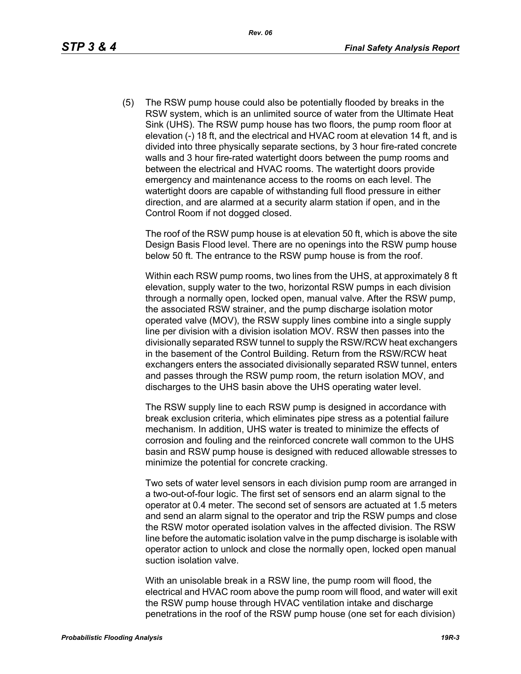(5) The RSW pump house could also be potentially flooded by breaks in the RSW system, which is an unlimited source of water from the Ultimate Heat Sink (UHS). The RSW pump house has two floors, the pump room floor at elevation (-) 18 ft, and the electrical and HVAC room at elevation 14 ft, and is divided into three physically separate sections, by 3 hour fire-rated concrete walls and 3 hour fire-rated watertight doors between the pump rooms and between the electrical and HVAC rooms. The watertight doors provide emergency and maintenance access to the rooms on each level. The watertight doors are capable of withstanding full flood pressure in either direction, and are alarmed at a security alarm station if open, and in the Control Room if not dogged closed.

The roof of the RSW pump house is at elevation 50 ft, which is above the site Design Basis Flood level. There are no openings into the RSW pump house below 50 ft. The entrance to the RSW pump house is from the roof.

Within each RSW pump rooms, two lines from the UHS, at approximately 8 ft elevation, supply water to the two, horizontal RSW pumps in each division through a normally open, locked open, manual valve. After the RSW pump, the associated RSW strainer, and the pump discharge isolation motor operated valve (MOV), the RSW supply lines combine into a single supply line per division with a division isolation MOV. RSW then passes into the divisionally separated RSW tunnel to supply the RSW/RCW heat exchangers in the basement of the Control Building. Return from the RSW/RCW heat exchangers enters the associated divisionally separated RSW tunnel, enters and passes through the RSW pump room, the return isolation MOV, and discharges to the UHS basin above the UHS operating water level.

The RSW supply line to each RSW pump is designed in accordance with break exclusion criteria, which eliminates pipe stress as a potential failure mechanism. In addition, UHS water is treated to minimize the effects of corrosion and fouling and the reinforced concrete wall common to the UHS basin and RSW pump house is designed with reduced allowable stresses to minimize the potential for concrete cracking.

Two sets of water level sensors in each division pump room are arranged in a two-out-of-four logic. The first set of sensors end an alarm signal to the operator at 0.4 meter. The second set of sensors are actuated at 1.5 meters and send an alarm signal to the operator and trip the RSW pumps and close the RSW motor operated isolation valves in the affected division. The RSW line before the automatic isolation valve in the pump discharge is isolable with operator action to unlock and close the normally open, locked open manual suction isolation valve.

With an unisolable break in a RSW line, the pump room will flood, the electrical and HVAC room above the pump room will flood, and water will exit the RSW pump house through HVAC ventilation intake and discharge penetrations in the roof of the RSW pump house (one set for each division)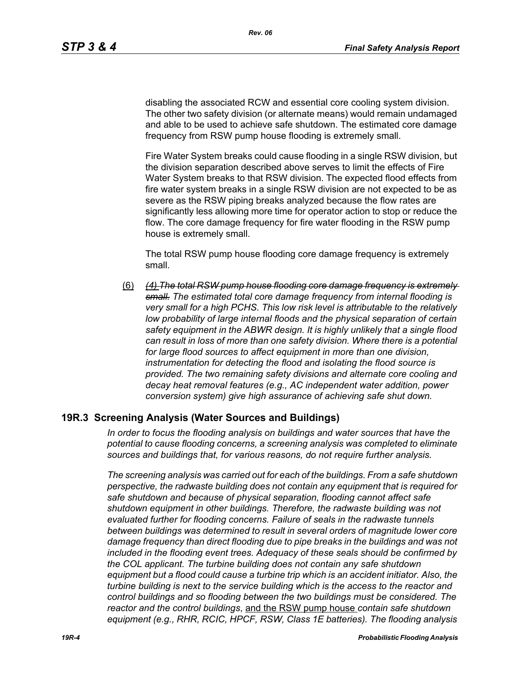disabling the associated RCW and essential core cooling system division. The other two safety division (or alternate means) would remain undamaged and able to be used to achieve safe shutdown. The estimated core damage frequency from RSW pump house flooding is extremely small.

Fire Water System breaks could cause flooding in a single RSW division, but the division separation described above serves to limit the effects of Fire Water System breaks to that RSW division. The expected flood effects from fire water system breaks in a single RSW division are not expected to be as severe as the RSW piping breaks analyzed because the flow rates are significantly less allowing more time for operator action to stop or reduce the flow. The core damage frequency for fire water flooding in the RSW pump house is extremely small.

The total RSW pump house flooding core damage frequency is extremely small.

(6) *(4) The total RSW pump house flooding core damage frequency is extremely small. The estimated total core damage frequency from internal flooding is very small for a high PCHS. This low risk level is attributable to the relatively*  low probability of large internal floods and the physical separation of certain *safety equipment in the ABWR design. It is highly unlikely that a single flood can result in loss of more than one safety division. Where there is a potential for large flood sources to affect equipment in more than one division, instrumentation for detecting the flood and isolating the flood source is provided. The two remaining safety divisions and alternate core cooling and decay heat removal features (e.g., AC independent water addition, power conversion system) give high assurance of achieving safe shut down.*

#### **19R.3 Screening Analysis (Water Sources and Buildings)**

*In order to focus the flooding analysis on buildings and water sources that have the potential to cause flooding concerns, a screening analysis was completed to eliminate sources and buildings that, for various reasons, do not require further analysis.*

*The screening analysis was carried out for each of the buildings. From a safe shutdown perspective, the radwaste building does not contain any equipment that is required for safe shutdown and because of physical separation, flooding cannot affect safe shutdown equipment in other buildings. Therefore, the radwaste building was not evaluated further for flooding concerns. Failure of seals in the radwaste tunnels between buildings was determined to result in several orders of magnitude lower core damage frequency than direct flooding due to pipe breaks in the buildings and was not included in the flooding event trees. Adequacy of these seals should be confirmed by the COL applicant. The turbine building does not contain any safe shutdown equipment but a flood could cause a turbine trip which is an accident initiator. Also, the turbine building is next to the service building which is the access to the reactor and control buildings and so flooding between the two buildings must be considered. The reactor and the control buildings*, and the RSW pump house *contain safe shutdown equipment (e.g., RHR, RCIC, HPCF, RSW, Class 1E batteries). The flooding analysis*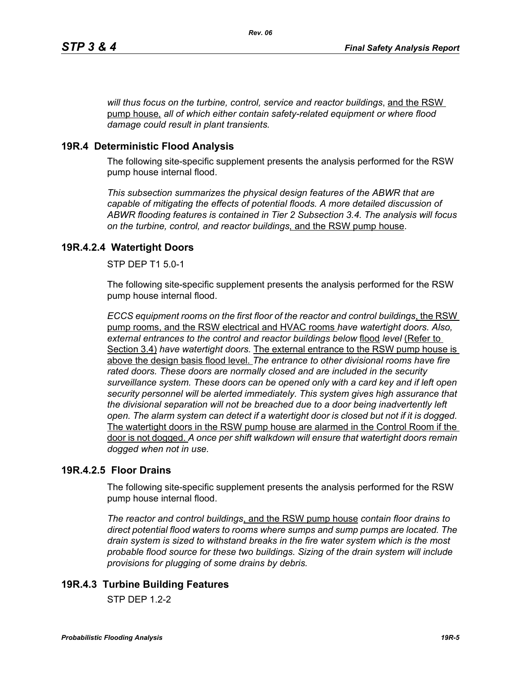*will thus focus on the turbine, control, service and reactor buildings*, and the RSW pump house*, all of which either contain safety-related equipment or where flood damage could result in plant transients.*

## **19R.4 Deterministic Flood Analysis**

The following site-specific supplement presents the analysis performed for the RSW pump house internal flood.

*This subsection summarizes the physical design features of the ABWR that are capable of mitigating the effects of potential floods. A more detailed discussion of ABWR flooding features is contained in Tier 2 Subsection 3.4. The analysis will focus on the turbine, control, and reactor buildings,* and the RSW pump house.

## **19R.4.2.4 Watertight Doors**

STP DEP T1 5.0-1

The following site-specific supplement presents the analysis performed for the RSW pump house internal flood.

*ECCS equipment rooms on the first floor of the reactor and control buildings*, the RSW pump rooms, and the RSW electrical and HVAC rooms *have watertight doors. Also, external entrances to the control and reactor buildings below* flood *level* (Refer to Section 3.4) *have watertight doors.* The external entrance to the RSW pump house is above the design basis flood level. *The entrance to other divisional rooms have fire rated doors. These doors are normally closed and are included in the security surveillance system. These doors can be opened only with a card key and if left open security personnel will be alerted immediately. This system gives high assurance that the divisional separation will not be breached due to a door being inadvertently left open. The alarm system can detect if a watertight door is closed but not if it is dogged.*  The watertight doors in the RSW pump house are alarmed in the Control Room if the door is not dogged. *A once per shift walkdown will ensure that watertight doors remain dogged when not in use.*

## **19R.4.2.5 Floor Drains**

The following site-specific supplement presents the analysis performed for the RSW pump house internal flood.

*The reactor and control buildings*, and the RSW pump house *contain floor drains to direct potential flood waters to rooms where sumps and sump pumps are located. The drain system is sized to withstand breaks in the fire water system which is the most probable flood source for these two buildings. Sizing of the drain system will include provisions for plugging of some drains by debris.*

# **19R.4.3 Turbine Building Features**

 $STP$  DFP 12-2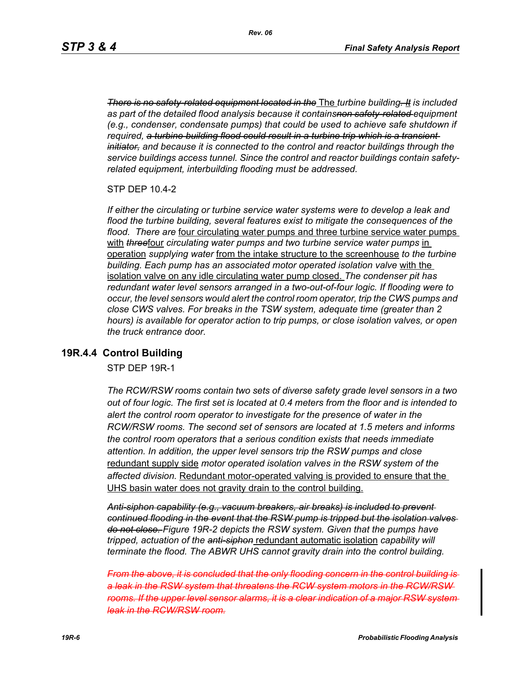*There is no safety-related equipment located in the* The *turbine building. It is included as part of the detailed flood analysis because it containsnon safety-related equipment (e.g., condenser, condensate pumps) that could be used to achieve safe shutdown if required, a turbine building flood could result in a turbine trip which is a transient initiator, and because it is connected to the control and reactor buildings through the service buildings access tunnel. Since the control and reactor buildings contain safetyrelated equipment, interbuilding flooding must be addressed.*

STP DEP 10.4-2

*If either the circulating or turbine service water systems were to develop a leak and flood the turbine building, several features exist to mitigate the consequences of the flood. There are* four circulating water pumps and three turbine service water pumps with **threefour** circulating water pumps and two turbine service water pumps in operation *supplying water* from the intake structure to the screenhouse *to the turbine building. Each pump has an associated motor operated isolation valve* with the isolation valve on any idle circulating water pump closed. *The condenser pit has redundant water level sensors arranged in a two-out-of-four logic. If flooding were to occur, the level sensors would alert the control room operator, trip the CWS pumps and close CWS valves. For breaks in the TSW system, adequate time (greater than 2 hours) is available for operator action to trip pumps, or close isolation valves, or open the truck entrance door.*

#### **19R.4.4 Control Building**

STP DEP 19R-1

*The RCW/RSW rooms contain two sets of diverse safety grade level sensors in a two out of four logic. The first set is located at 0.4 meters from the floor and is intended to alert the control room operator to investigate for the presence of water in the RCW/RSW rooms. The second set of sensors are located at 1.5 meters and informs the control room operators that a serious condition exists that needs immediate attention. In addition, the upper level sensors trip the RSW pumps and close*  redundant supply side *motor operated isolation valves in the RSW system of the affected division.* Redundant motor-operated valving is provided to ensure that the UHS basin water does not gravity drain to the control building.

*Anti-siphon capability (e.g., vacuum breakers, air breaks) is included to prevent continued flooding in the event that the RSW pump is tripped but the isolation valves do not close. Figure 19R-2 depicts the RSW system. Given that the pumps have tripped, actuation of the anti-siphon* redundant automatic isolation *capability will terminate the flood. The ABWR UHS cannot gravity drain into the control building.*

*From the above, it is concluded that the only flooding concern in the control building is a leak in the RSW system that threatens the RCW system motors in the RCW/RSW rooms. If the upper level sensor alarms, it is a clear indication of a major RSW system leak in the RCW/RSW room.*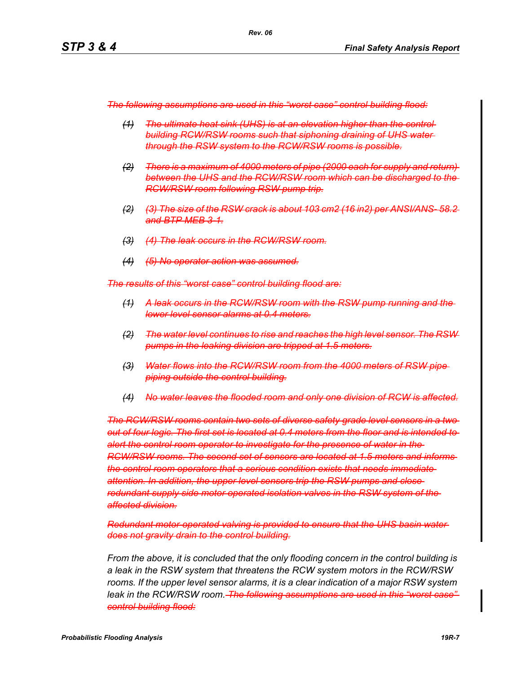*The following assumptions are used in this "worst case" control building flood:*

- *(1) The ultimate heat sink (UHS) is at an elevation higher than the control building RCW/RSW rooms such that siphoning draining of UHS water through the RSW system to the RCW/RSW rooms is possible.*
- *(2) There is a maximum of 4000 meters of pipe (2000 each for supply and return) between the UHS and the RCW/RSW room which can be discharged to the RCW/RSW room following RSW pump trip.*
- *(2) (3) The size of the RSW crack is about 103 cm2 (16 in2) per ANSI/ANSand BTP MEB 3-1.*
- *(3) (4) The leak occurs in the RCW/RSW room.*
- *(4) (5) No operator action was assumed.*

*The results of this "worst case" control building flood are:*

- *(1) A leak occurs in the RCW/RSW room with the RSW pump running and the lower level sensor alarms at 0.4 meters.*
- *(2) The water level continues to rise and reaches the high level sensor. The RSW pumps in the leaking division are tripped at 1.5 meters.*
- *(3) Water flows into the RCW/RSW room from the 4000 meters of RSW pipe piping outside the control building.*
- *(4) No water leaves the flooded room and only one division of RCW is affected.*

*The RCW/RSW rooms contain two sets of diverse safety grade level sensors in a two out of four logic. The first set is located at 0.4 meters from the floor and is intended to alert the control room operator to investigate for the presence of water in the RCW/RSW rooms. The second set of sensors are located at 1.5 meters and informs the control room operators that a serious condition exists that needs immediate attention. In addition, the upper level sensors trip the RSW pumps and close redundant supply side motor operated isolation valves in the RSW system of the affected division.*

*Redundant motor-operated valving is provided to ensure that the UHS basin water does not gravity drain to the control building.*

*From the above, it is concluded that the only flooding concern in the control building is a leak in the RSW system that threatens the RCW system motors in the RCW/RSW rooms. If the upper level sensor alarms, it is a clear indication of a major RSW system leak in the RCW/RSW room. The following assumptions are used in this "worst case" control building flood:*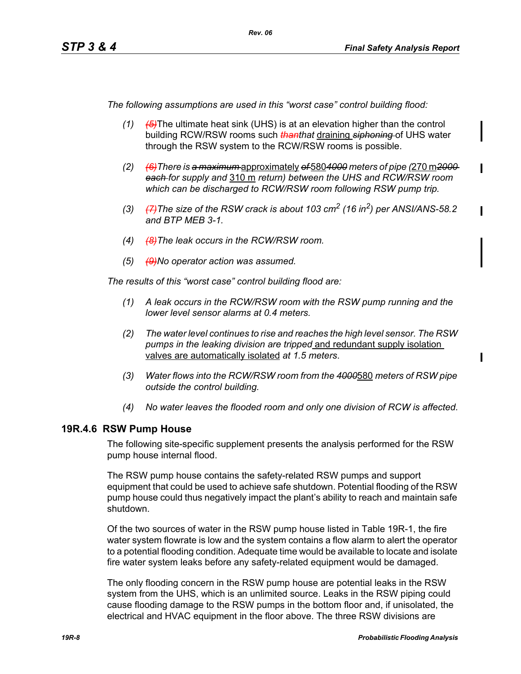*The following assumptions are used in this "worst case" control building flood:*

*Rev. 06*

- *(1) (5)*The ultimate heat sink (UHS) is at an elevation higher than the control building RCW/RSW rooms such *thanthat* draining *siphoning* of UHS water through the RSW system to the RCW/RSW rooms is possible.
- *(2) (6)There is a maximum* approximately *of* 580*4000 meters of pipe (*270 m*2000 each for supply and* 310 m *return) between the UHS and RCW/RSW room which can be discharged to RCW/RSW room following RSW pump trip.*
- *(3) (7)The size of the RSW crack is about 103 cm2 (16 in2) per ANSI/ANS-58.2 and BTP MEB 3-1.*
- *(4) (8)The leak occurs in the RCW/RSW room.*
- *(5) (9)No operator action was assumed.*

*The results of this "worst case" control building flood are:*

- *(1) A leak occurs in the RCW/RSW room with the RSW pump running and the lower level sensor alarms at 0.4 meters.*
- *(2) The water level continues to rise and reaches the high level sensor. The RSW pumps in the leaking division are tripped* and redundant supply isolation valves are automatically isolated *at 1.5 meters*.
- *(3) Water flows into the RCW/RSW room from the 4000*580 *meters of RSW pipe outside the control building.*
- *(4) No water leaves the flooded room and only one division of RCW is affected.*

#### **19R.4.6 RSW Pump House**

The following site-specific supplement presents the analysis performed for the RSW pump house internal flood.

The RSW pump house contains the safety-related RSW pumps and support equipment that could be used to achieve safe shutdown. Potential flooding of the RSW pump house could thus negatively impact the plant's ability to reach and maintain safe shutdown.

Of the two sources of water in the RSW pump house listed in Table 19R-1, the fire water system flowrate is low and the system contains a flow alarm to alert the operator to a potential flooding condition. Adequate time would be available to locate and isolate fire water system leaks before any safety-related equipment would be damaged.

The only flooding concern in the RSW pump house are potential leaks in the RSW system from the UHS, which is an unlimited source. Leaks in the RSW piping could cause flooding damage to the RSW pumps in the bottom floor and, if unisolated, the electrical and HVAC equipment in the floor above. The three RSW divisions are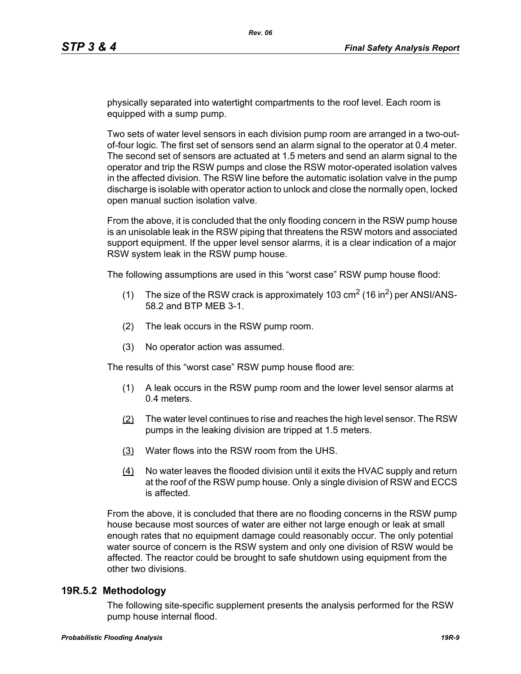physically separated into watertight compartments to the roof level. Each room is equipped with a sump pump.

Two sets of water level sensors in each division pump room are arranged in a two-outof-four logic. The first set of sensors send an alarm signal to the operator at 0.4 meter. The second set of sensors are actuated at 1.5 meters and send an alarm signal to the operator and trip the RSW pumps and close the RSW motor-operated isolation valves in the affected division. The RSW line before the automatic isolation valve in the pump discharge is isolable with operator action to unlock and close the normally open, locked open manual suction isolation valve.

From the above, it is concluded that the only flooding concern in the RSW pump house is an unisolable leak in the RSW piping that threatens the RSW motors and associated support equipment. If the upper level sensor alarms, it is a clear indication of a major RSW system leak in the RSW pump house.

The following assumptions are used in this "worst case" RSW pump house flood:

- (1) The size of the RSW crack is approximately 103  $\text{cm}^2$  (16 in<sup>2</sup>) per ANSI/ANS-58.2 and BTP MEB 3-1.
- (2) The leak occurs in the RSW pump room.
- (3) No operator action was assumed.

The results of this "worst case" RSW pump house flood are:

- (1) A leak occurs in the RSW pump room and the lower level sensor alarms at 0.4 meters.
- (2) The water level continues to rise and reaches the high level sensor. The RSW pumps in the leaking division are tripped at 1.5 meters.
- (3) Water flows into the RSW room from the UHS.
- (4) No water leaves the flooded division until it exits the HVAC supply and return at the roof of the RSW pump house. Only a single division of RSW and ECCS is affected.

From the above, it is concluded that there are no flooding concerns in the RSW pump house because most sources of water are either not large enough or leak at small enough rates that no equipment damage could reasonably occur. The only potential water source of concern is the RSW system and only one division of RSW would be affected. The reactor could be brought to safe shutdown using equipment from the other two divisions.

#### **19R.5.2 Methodology**

The following site-specific supplement presents the analysis performed for the RSW pump house internal flood.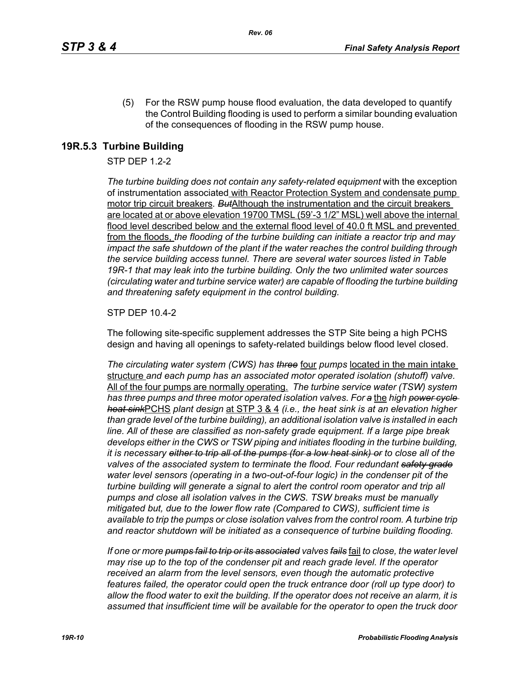(5) For the RSW pump house flood evaluation, the data developed to quantify the Control Building flooding is used to perform a similar bounding evaluation of the consequences of flooding in the RSW pump house.

## **19R.5.3 Turbine Building**

#### STP DEP 1.2-2

*The turbine building does not contain any safety-related equipment* with the exception of instrumentation associated with Reactor Protection System and condensate pump motor trip circuit breakers*. But*Although the instrumentation and the circuit breakers are located at or above elevation 19700 TMSL (59'-3 1/2" MSL) well above the internal flood level described below and the external flood level of 40.0 ft MSL and prevented from the floods, *the flooding of the turbine building can initiate a reactor trip and may impact the safe shutdown of the plant if the water reaches the control building through the service building access tunnel. There are several water sources listed in Table 19R-1 that may leak into the turbine building. Only the two unlimited water sources (circulating water and turbine service water) are capable of flooding the turbine building and threatening safety equipment in the control building.*

#### STP DEP 10.4-2

The following site-specific supplement addresses the STP Site being a high PCHS design and having all openings to safety-related buildings below flood level closed.

*The circulating water system (CWS) has three* four *pumps* located in the main intake structure *and each pump has an associated motor operated isolation (shutoff) valve.*  All of the four pumps are normally operating. *The turbine service water (TSW) system has three pumps and three motor operated isolation valves. For a* the *high power cycle heat sink*PCHS *plant design* at STP 3 & 4 *(i.e., the heat sink is at an elevation higher than grade level of the turbine building), an additional isolation valve is installed in each line. All of these are classified as non-safety grade equipment. If a large pipe break develops either in the CWS or TSW piping and initiates flooding in the turbine building, it is necessary either to trip all of the pumps (for a low heat sink) or to close all of the valves of the associated system to terminate the flood. Four redundant safety grade water level sensors (operating in a two-out-of-four logic) in the condenser pit of the turbine building will generate a signal to alert the control room operator and trip all pumps and close all isolation valves in the CWS. TSW breaks must be manually mitigated but, due to the lower flow rate (Compared to CWS), sufficient time is available to trip the pumps or close isolation valves from the control room. A turbine trip and reactor shutdown will be initiated as a consequence of turbine building flooding.*

*If one or more pumps fail to trip or its associated valves fails* fail *to close, the water level may rise up to the top of the condenser pit and reach grade level. If the operator received an alarm from the level sensors, even though the automatic protective features failed, the operator could open the truck entrance door (roll up type door) to allow the flood water to exit the building. If the operator does not receive an alarm, it is assumed that insufficient time will be available for the operator to open the truck door*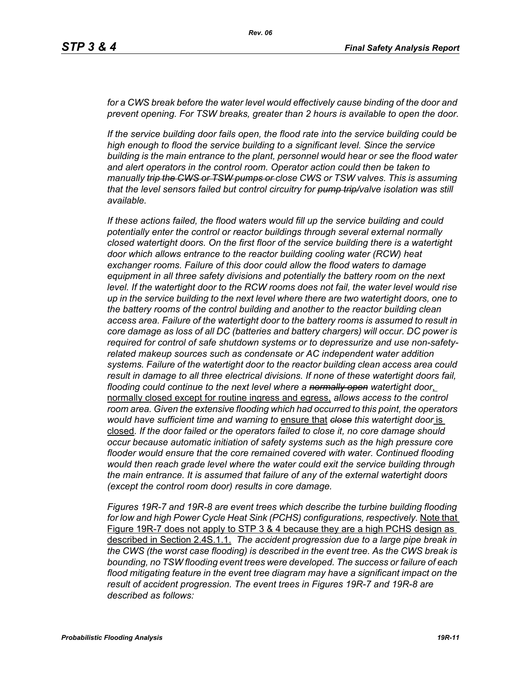for a CWS break before the water level would effectively cause binding of the door and *prevent opening. For TSW breaks, greater than 2 hours is available to open the door.*

*If the service building door fails open, the flood rate into the service building could be high enough to flood the service building to a significant level. Since the service building is the main entrance to the plant, personnel would hear or see the flood water and alert operators in the control room. Operator action could then be taken to manually trip the CWS or TSW pumps or close CWS or TSW valves. This is assuming that the level sensors failed but control circuitry for pump trip/valve isolation was still available.*

*If these actions failed, the flood waters would fill up the service building and could potentially enter the control or reactor buildings through several external normally closed watertight doors. On the first floor of the service building there is a watertight door which allows entrance to the reactor building cooling water (RCW) heat exchanger rooms. Failure of this door could allow the flood waters to damage equipment in all three safety divisions and potentially the battery room on the next level. If the watertight door to the RCW rooms does not fail, the water level would rise up in the service building to the next level where there are two watertight doors, one to the battery rooms of the control building and another to the reactor building clean access area. Failure of the watertight door to the battery rooms is assumed to result in core damage as loss of all DC (batteries and battery chargers) will occur. DC power is required for control of safe shutdown systems or to depressurize and use non-safetyrelated makeup sources such as condensate or AC independent water addition systems. Failure of the watertight door to the reactor building clean access area could result in damage to all three electrical divisions. If none of these watertight doors fail, flooding could continue to the next level where a normally open watertight door*, normally closed except for routine ingress and egress, *allows access to the control room area. Given the extensive flooding which had occurred to this point, the operators would have sufficient time and warning to* ensure that *close this watertight door* is closed*. If the door failed or the operators failed to close it, no core damage should occur because automatic initiation of safety systems such as the high pressure core flooder would ensure that the core remained covered with water. Continued flooding would then reach grade level where the water could exit the service building through the main entrance. It is assumed that failure of any of the external watertight doors (except the control room door) results in core damage.*

*Figures 19R-7 and 19R-8 are event trees which describe the turbine building flooding*  for low and high Power Cycle Heat Sink (PCHS) configurations, respectively. Note that Figure 19R-7 does not apply to STP 3 & 4 because they are a high PCHS design as described in Section 2.4S.1.1. *The accident progression due to a large pipe break in the CWS (the worst case flooding) is described in the event tree. As the CWS break is bounding, no TSW flooding event trees were developed. The success or failure of each flood mitigating feature in the event tree diagram may have a significant impact on the result of accident progression. The event trees in Figures 19R-7 and 19R-8 are described as follows:*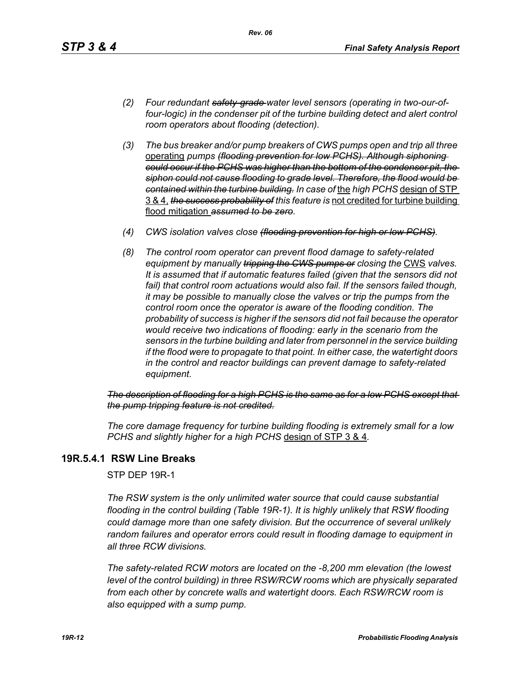- *(2) Four redundant safety-grade water level sensors (operating in two-our-offour-logic) in the condenser pit of the turbine building detect and alert control room operators about flooding (detection).*
- *(3) The bus breaker and/or pump breakers of CWS pumps open and trip all three*  operating *pumps (flooding prevention for low PCHS). Although siphoning could occur if the PCHS was higher than the bottom of the condenser pit, the siphon could not cause flooding to grade level. Therefore, the flood would be contained within the turbine building. In case of* the *high PCHS* design of STP 3 & 4, *the success probability of this feature is* not credited for turbine building flood mitigation *assumed to be zero.*
- *(4) CWS isolation valves close (flooding prevention for high or low PCHS).*
- *(8) The control room operator can prevent flood damage to safety-related equipment by manually tripping the GWS pumps or closing the CWS valves. It is assumed that if automatic features failed (given that the sensors did not*  fail) that control room actuations would also fail. If the sensors failed though, *it may be possible to manually close the valves or trip the pumps from the control room once the operator is aware of the flooding condition. The probability of success is higher if the sensors did not fail because the operator would receive two indications of flooding: early in the scenario from the sensors in the turbine building and later from personnel in the service building if the flood were to propagate to that point. In either case, the watertight doors in the control and reactor buildings can prevent damage to safety-related equipment.*

*The description of flooding for a high PCHS is the same as for a low PCHS except that the pump tripping feature is not credited.*

*The core damage frequency for turbine building flooding is extremely small for a low PCHS and slightly higher for a high PCHS* design of STP 3 & 4*.*

## **19R.5.4.1 RSW Line Breaks**

STP DEP 19R-1

*The RSW system is the only unlimited water source that could cause substantial flooding in the control building (Table 19R-1). It is highly unlikely that RSW flooding could damage more than one safety division. But the occurrence of several unlikely random failures and operator errors could result in flooding damage to equipment in all three RCW divisions.* 

*The safety-related RCW motors are located on the -8,200 mm elevation (the lowest level of the control building) in three RSW/RCW rooms which are physically separated from each other by concrete walls and watertight doors. Each RSW/RCW room is also equipped with a sump pump.*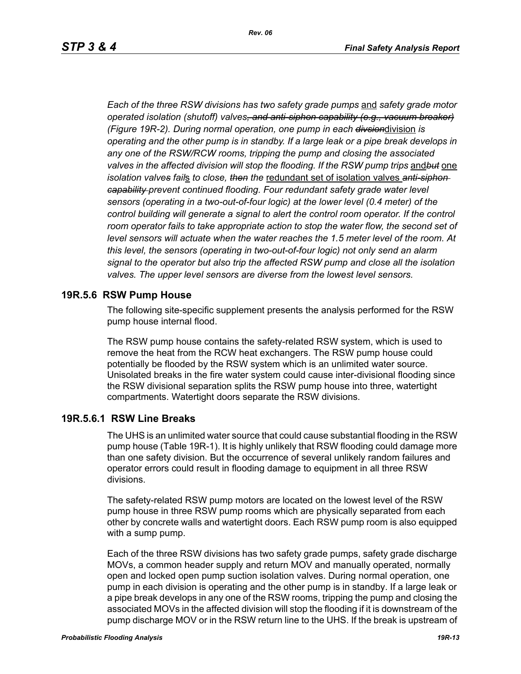*Each of the three RSW divisions has two safety grade pumps* and *safety grade motor operated isolation (shutoff) valves, and anti-siphon capability (e.g., vacuum breaker) (Figure 19R-2). During normal operation, one pump in each divsion*division *is operating and the other pump is in standby. If a large leak or a pipe break develops in any one of the RSW/RCW rooms, tripping the pump and closing the associated valves in the affected division will stop the flooding. If the RSW pump trips* and*but* one *isolation valves fail*s *to close, then the* redundant set of isolation valves *anti-siphon capability prevent continued flooding. Four redundant safety grade water level sensors (operating in a two-out-of-four logic) at the lower level (0.4 meter) of the control building will generate a signal to alert the control room operator. If the control* room operator fails to take appropriate action to stop the water flow, the second set of *level sensors will actuate when the water reaches the 1.5 meter level of the room. At this level, the sensors (operating in two-out-of-four logic) not only send an alarm signal to the operator but also trip the affected RSW pump and close all the isolation valves. The upper level sensors are diverse from the lowest level sensors.*

#### **19R.5.6 RSW Pump House**

The following site-specific supplement presents the analysis performed for the RSW pump house internal flood.

The RSW pump house contains the safety-related RSW system, which is used to remove the heat from the RCW heat exchangers. The RSW pump house could potentially be flooded by the RSW system which is an unlimited water source. Unisolated breaks in the fire water system could cause inter-divisional flooding since the RSW divisional separation splits the RSW pump house into three, watertight compartments. Watertight doors separate the RSW divisions.

#### **19R.5.6.1 RSW Line Breaks**

The UHS is an unlimited water source that could cause substantial flooding in the RSW pump house (Table 19R-1). It is highly unlikely that RSW flooding could damage more than one safety division. But the occurrence of several unlikely random failures and operator errors could result in flooding damage to equipment in all three RSW divisions.

The safety-related RSW pump motors are located on the lowest level of the RSW pump house in three RSW pump rooms which are physically separated from each other by concrete walls and watertight doors. Each RSW pump room is also equipped with a sump pump.

Each of the three RSW divisions has two safety grade pumps, safety grade discharge MOVs, a common header supply and return MOV and manually operated, normally open and locked open pump suction isolation valves. During normal operation, one pump in each division is operating and the other pump is in standby. If a large leak or a pipe break develops in any one of the RSW rooms, tripping the pump and closing the associated MOVs in the affected division will stop the flooding if it is downstream of the pump discharge MOV or in the RSW return line to the UHS. If the break is upstream of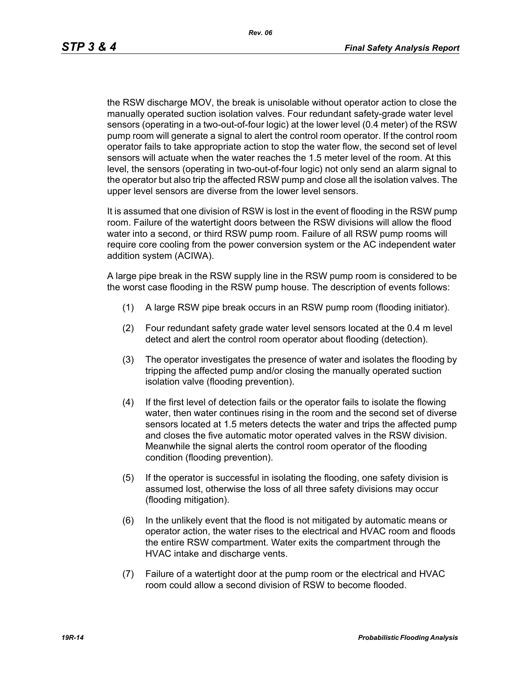the RSW discharge MOV, the break is unisolable without operator action to close the manually operated suction isolation valves. Four redundant safety-grade water level sensors (operating in a two-out-of-four logic) at the lower level (0.4 meter) of the RSW pump room will generate a signal to alert the control room operator. If the control room operator fails to take appropriate action to stop the water flow, the second set of level sensors will actuate when the water reaches the 1.5 meter level of the room. At this level, the sensors (operating in two-out-of-four logic) not only send an alarm signal to the operator but also trip the affected RSW pump and close all the isolation valves. The upper level sensors are diverse from the lower level sensors.

It is assumed that one division of RSW is lost in the event of flooding in the RSW pump room. Failure of the watertight doors between the RSW divisions will allow the flood water into a second, or third RSW pump room. Failure of all RSW pump rooms will require core cooling from the power conversion system or the AC independent water addition system (ACIWA).

A large pipe break in the RSW supply line in the RSW pump room is considered to be the worst case flooding in the RSW pump house. The description of events follows:

- (1) A large RSW pipe break occurs in an RSW pump room (flooding initiator).
- (2) Four redundant safety grade water level sensors located at the 0.4 m level detect and alert the control room operator about flooding (detection).
- (3) The operator investigates the presence of water and isolates the flooding by tripping the affected pump and/or closing the manually operated suction isolation valve (flooding prevention).
- (4) If the first level of detection fails or the operator fails to isolate the flowing water, then water continues rising in the room and the second set of diverse sensors located at 1.5 meters detects the water and trips the affected pump and closes the five automatic motor operated valves in the RSW division. Meanwhile the signal alerts the control room operator of the flooding condition (flooding prevention).
- (5) If the operator is successful in isolating the flooding, one safety division is assumed lost, otherwise the loss of all three safety divisions may occur (flooding mitigation).
- (6) In the unlikely event that the flood is not mitigated by automatic means or operator action, the water rises to the electrical and HVAC room and floods the entire RSW compartment. Water exits the compartment through the HVAC intake and discharge vents.
- (7) Failure of a watertight door at the pump room or the electrical and HVAC room could allow a second division of RSW to become flooded.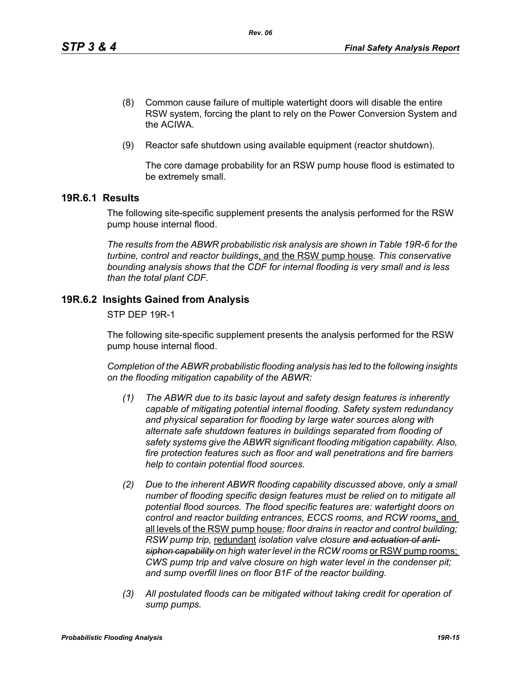- (8) Common cause failure of multiple watertight doors will disable the entire RSW system, forcing the plant to rely on the Power Conversion System and the ACIWA.
- (9) Reactor safe shutdown using available equipment (reactor shutdown).

The core damage probability for an RSW pump house flood is estimated to be extremely small.

## **19R.6.1 Results**

The following site-specific supplement presents the analysis performed for the RSW pump house internal flood.

*The results from the ABWR probabilistic risk analysis are shown in Table 19R-6 for the turbine, control and reactor buildings*, and the RSW pump house*. This conservative bounding analysis shows that the CDF for internal flooding is very small and is less than the total plant CDF.*

## **19R.6.2 Insights Gained from Analysis**

STP DEP 19R-1

The following site-specific supplement presents the analysis performed for the RSW pump house internal flood.

*Completion of the ABWR probabilistic flooding analysis has led to the following insights on the flooding mitigation capability of the ABWR:*

- *(1) The ABWR due to its basic layout and safety design features is inherently capable of mitigating potential internal flooding. Safety system redundancy and physical separation for flooding by large water sources along with alternate safe shutdown features in buildings separated from flooding of safety systems give the ABWR significant flooding mitigation capability. Also, fire protection features such as floor and wall penetrations and fire barriers help to contain potential flood sources.*
- *(2) Due to the inherent ABWR flooding capability discussed above, only a small number of flooding specific design features must be relied on to mitigate all potential flood sources. The flood specific features are: watertight doors on control and reactor building entrances, ECCS rooms, and RCW rooms*, and all levels of the RSW pump house*; floor drains in reactor and control building; RSW pump trip,* redundant *isolation valve closure and actuation of anti*siphon capability on high water level in the RCW rooms or RSW pump rooms; *CWS pump trip and valve closure on high water level in the condenser pit; and sump overfill lines on floor B1F of the reactor building.*
- *(3) All postulated floods can be mitigated without taking credit for operation of sump pumps.*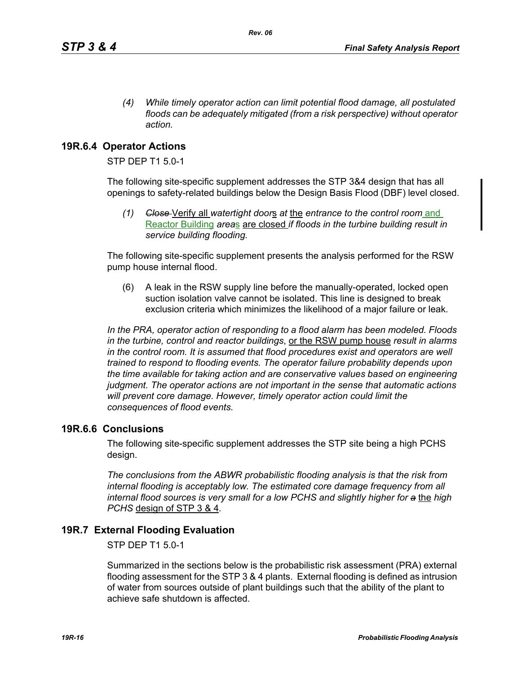*(4) While timely operator action can limit potential flood damage, all postulated floods can be adequately mitigated (from a risk perspective) without operator action.*

## **19R.6.4 Operator Actions**

STP DEP T1 5.0-1

The following site-specific supplement addresses the STP 3&4 design that has all openings to safety-related buildings below the Design Basis Flood (DBF) level closed.

*(1) Close* Verify all *watertight door*s *at* the *entrance to the control room* and Reactor Building *area*s are closed *if floods in the turbine building result in service building flooding.*

The following site-specific supplement presents the analysis performed for the RSW pump house internal flood.

(6) A leak in the RSW supply line before the manually-operated, locked open suction isolation valve cannot be isolated. This line is designed to break exclusion criteria which minimizes the likelihood of a major failure or leak.

*In the PRA, operator action of responding to a flood alarm has been modeled. Floods in the turbine, control and reactor buildings*, or the RSW pump house *result in alarms in the control room. It is assumed that flood procedures exist and operators are well trained to respond to flooding events. The operator failure probability depends upon the time available for taking action and are conservative values based on engineering judgment. The operator actions are not important in the sense that automatic actions will prevent core damage. However, timely operator action could limit the consequences of flood events.* 

## **19R.6.6 Conclusions**

The following site-specific supplement addresses the STP site being a high PCHS design.

*The conclusions from the ABWR probabilistic flooding analysis is that the risk from internal flooding is acceptably low. The estimated core damage frequency from all internal flood sources is very small for a low PCHS and slightly higher for a* the *high PCHS* design of STP 3 & 4*.*

## **19R.7 External Flooding Evaluation**

STP DEP T1 5.0-1

Summarized in the sections below is the probabilistic risk assessment (PRA) external flooding assessment for the STP 3 & 4 plants. External flooding is defined as intrusion of water from sources outside of plant buildings such that the ability of the plant to achieve safe shutdown is affected.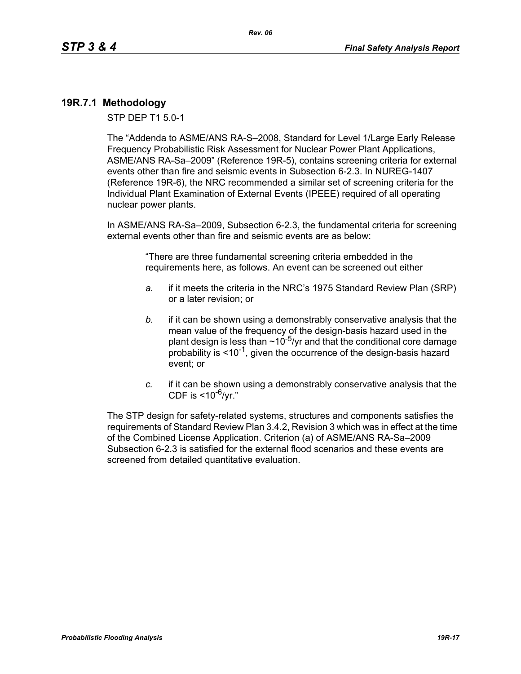## **19R.7.1 Methodology**

STP DEP T1 5.0-1

The "Addenda to ASME/ANS RA-S–2008, Standard for Level 1/Large Early Release Frequency Probabilistic Risk Assessment for Nuclear Power Plant Applications, ASME/ANS RA-Sa–2009" (Reference 19R-5), contains screening criteria for external events other than fire and seismic events in Subsection 6-2.3. In NUREG-1407 (Reference 19R-6), the NRC recommended a similar set of screening criteria for the Individual Plant Examination of External Events (IPEEE) required of all operating nuclear power plants.

In ASME/ANS RA-Sa–2009, Subsection 6-2.3, the fundamental criteria for screening external events other than fire and seismic events are as below:

> "There are three fundamental screening criteria embedded in the requirements here, as follows. An event can be screened out either

- *a.* if it meets the criteria in the NRC's 1975 Standard Review Plan (SRP) or a later revision; or
- *b.* if it can be shown using a demonstrably conservative analysis that the mean value of the frequency of the design-basis hazard used in the plant design is less than  $\sim 10^{-5}$ /yr and that the conditional core damage probability is  $\leq 10^{-1}$ , given the occurrence of the design-basis hazard event; or
- *c.* if it can be shown using a demonstrably conservative analysis that the CDF is  $<$ 10<sup>-6</sup>/vr."

The STP design for safety-related systems, structures and components satisfies the requirements of Standard Review Plan 3.4.2, Revision 3 which was in effect at the time of the Combined License Application. Criterion (a) of ASME/ANS RA-Sa–2009 Subsection 6-2.3 is satisfied for the external flood scenarios and these events are screened from detailed quantitative evaluation.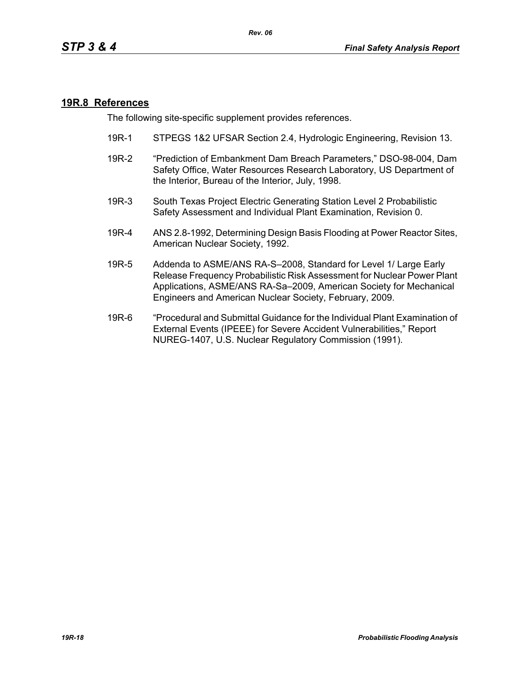#### **19R.8 References**

The following site-specific supplement provides references.

- 19R-1 STPEGS 1&2 UFSAR Section 2.4, Hydrologic Engineering, Revision 13.
- 19R-2 "Prediction of Embankment Dam Breach Parameters," DSO-98-004, Dam Safety Office, Water Resources Research Laboratory, US Department of the Interior, Bureau of the Interior, July, 1998.
- 19R-3 South Texas Project Electric Generating Station Level 2 Probabilistic Safety Assessment and Individual Plant Examination, Revision 0.
- 19R-4 ANS 2.8-1992, Determining Design Basis Flooding at Power Reactor Sites, American Nuclear Society, 1992.
- 19R-5 Addenda to ASME/ANS RA-S–2008, Standard for Level 1/ Large Early Release Frequency Probabilistic Risk Assessment for Nuclear Power Plant Applications, ASME/ANS RA-Sa–2009, American Society for Mechanical Engineers and American Nuclear Society, February, 2009.
- 19R-6 "Procedural and Submittal Guidance for the Individual Plant Examination of External Events (IPEEE) for Severe Accident Vulnerabilities," Report NUREG-1407, U.S. Nuclear Regulatory Commission (1991).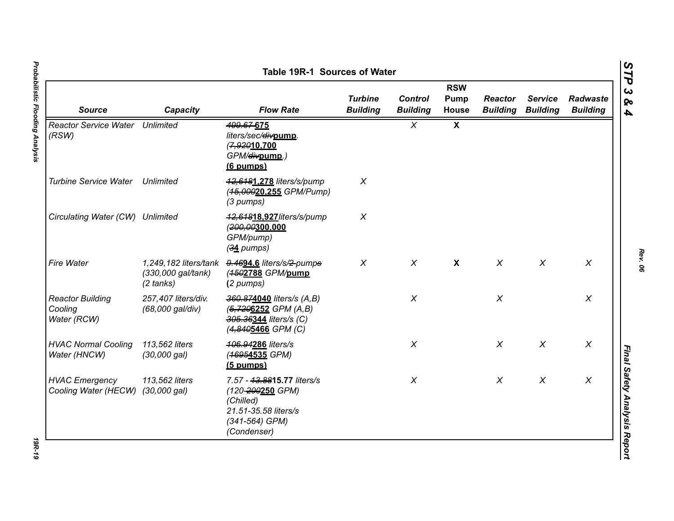|                                                   |                                           |                                                                                                                      | <b>RSW</b>                        |                                   |                      |                                   |                                   |                                    |
|---------------------------------------------------|-------------------------------------------|----------------------------------------------------------------------------------------------------------------------|-----------------------------------|-----------------------------------|----------------------|-----------------------------------|-----------------------------------|------------------------------------|
| <b>Source</b>                                     | Capacity                                  | <b>Flow Rate</b>                                                                                                     | <b>Turbine</b><br><b>Building</b> | <b>Control</b><br><b>Building</b> | Pump<br><b>House</b> | <b>Reactor</b><br><b>Building</b> | <b>Service</b><br><b>Building</b> | <b>Radwaste</b><br><b>Building</b> |
| <b>Reactor Service Water Unlimited</b><br>(RSW)   |                                           | 499.67-675<br>liters/sec/divpump.<br>(7,92010.700<br>GPM/ <del>div</del> pump.)<br>(6 pumps)                         |                                   | $\chi$                            | $\mathbf{x}$         |                                   |                                   |                                    |
| <b>Turbine Service Water</b>                      | Unlimited                                 | 42,6481.278 liters/s/pump<br>(45,00020,255 GPM/Pump)<br>(3 pumps)                                                    | $\chi$                            |                                   |                      |                                   |                                   |                                    |
| Circulating Water (CW) Unlimited                  |                                           | 42,64818.927/iters/s/pump<br>(200,00300,000<br>GPM/pump)<br>$(34$ pumps)                                             | $\chi$                            |                                   |                      |                                   |                                   |                                    |
| Fire Water                                        | (330,000 gal/tank)<br>$(2 \text{ tanks})$ | 1,249,182 liters/tank 9.4694.6 liters/s/2-pumps<br>(4502788 GPM/pump<br>(2 pumps)                                    | $\chi$                            | $\chi$                            | $\mathsf{X}$         | $\chi$                            | $\chi$                            | $\chi$                             |
| <b>Reactor Building</b><br>Cooling<br>Water (RCW) | 257,407 liters/div.<br>(68,000 gal/div)   | 360.874040 liters/s (A,B)<br>(5,7206252 GPM (A,B)<br>305.36344 liters/s (C)<br>(4,8405466 GPM (C)                    |                                   | $\chi$                            |                      | $\chi$                            |                                   | $\boldsymbol{X}$                   |
| <b>HVAC Normal Cooling</b><br>Water (HNCW)        | 113,562 liters<br>(30,000 gal)            | 406.94286 liters/s<br>(46954535 GPM)<br>$(5$ pumps)                                                                  |                                   | $\chi$                            |                      | $\chi$                            | $\chi$                            | $\chi$                             |
| <b>HVAC Emergency</b><br>Cooling Water (HECW)     | 113,562 liters<br>(30,000 gal)            | 7.57 - 43.8815.77 liters/s<br>(120-200250 GPM)<br>(Chilled)<br>21.51-35.58 liters/s<br>(341-564) GPM)<br>(Condenser) |                                   | $\chi$                            |                      | $\chi$                            | $\boldsymbol{X}$                  | $\boldsymbol{X}$                   |

*Rev. 06*

**19R-19**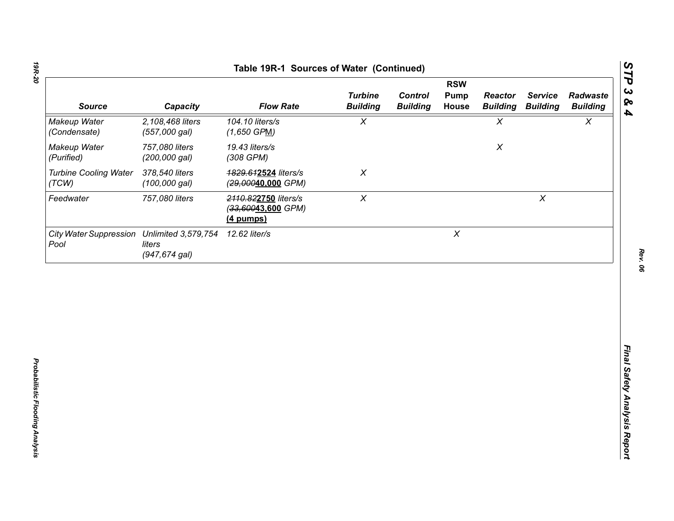|                                       | <b>RSW</b>                                            |                                                           |                                   |                                   |                           |                                   |                                   |                             |
|---------------------------------------|-------------------------------------------------------|-----------------------------------------------------------|-----------------------------------|-----------------------------------|---------------------------|-----------------------------------|-----------------------------------|-----------------------------|
| <b>Source</b>                         | Capacity                                              | <b>Flow Rate</b>                                          | <b>Turbine</b><br><b>Building</b> | <b>Control</b><br><b>Building</b> | Pump<br>House             | <b>Reactor</b><br><b>Building</b> | <b>Service</b><br><b>Building</b> | Radwaste<br><b>Building</b> |
| Makeup Water<br>(Condensate)          | 2,108,468 liters<br>(557,000 gal)                     | 104.10 liters/s<br>$(1,650$ GPM)                          | $\pmb{\chi}$                      |                                   |                           | $\chi$                            |                                   | $\boldsymbol{\mathsf{X}}$   |
| Makeup Water<br>(Purified)            | 757,080 liters<br>(200,000 gal)                       | 19.43 liters/s<br>(308 GPM)                               |                                   |                                   |                           | $\pmb{\mathsf{X}}$                |                                   |                             |
| <b>Turbine Cooling Water</b><br>(TCW) | 378,540 liters<br>$(100,000$ gal)                     | 1829.612524 liters/s<br>(29,00040,000 GPM)                | $\chi$                            |                                   |                           |                                   |                                   |                             |
| Feedwater                             | 757,080 liters                                        | 2110.822750 liters/s<br>(33,60043,600 GPM)<br>$(4$ pumps) | $\boldsymbol{X}$                  |                                   |                           |                                   | $\pmb{\times}$                    |                             |
| <b>City Water Suppression</b><br>Pool | <b>Unlimited 3,579,754</b><br>liters<br>(947,674 gal) | 12.62 liter/s                                             |                                   |                                   | $\boldsymbol{\mathsf{X}}$ |                                   |                                   |                             |
|                                       |                                                       |                                                           |                                   |                                   |                           |                                   |                                   |                             |
|                                       |                                                       |                                                           |                                   |                                   |                           |                                   |                                   |                             |
|                                       |                                                       |                                                           |                                   |                                   |                           |                                   |                                   |                             |
|                                       |                                                       |                                                           |                                   |                                   |                           |                                   |                                   |                             |
|                                       |                                                       |                                                           |                                   |                                   |                           |                                   |                                   |                             |
|                                       |                                                       |                                                           |                                   |                                   |                           |                                   |                                   |                             |
|                                       |                                                       |                                                           |                                   |                                   |                           |                                   |                                   |                             |

*Rev. 06*

*STP 3 & 4*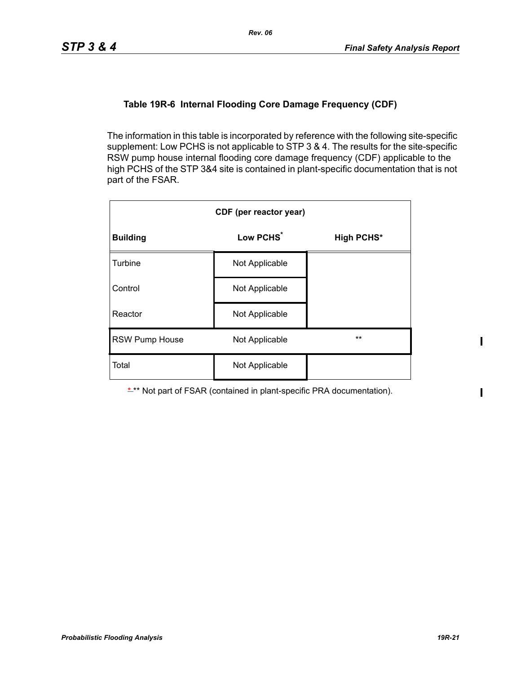## **Table 19R-6 Internal Flooding Core Damage Frequency (CDF)**

The information in this table is incorporated by reference with the following site-specific supplement: Low PCHS is not applicable to STP 3 & 4. The results for the site-specific RSW pump house internal flooding core damage frequency (CDF) applicable to the high PCHS of the STP 3&4 site is contained in plant-specific documentation that is not part of the FSAR.

| CDF (per reactor year) |                       |                   |  |  |  |  |
|------------------------|-----------------------|-------------------|--|--|--|--|
| <b>Building</b>        | Low PCHS <sup>*</sup> | <b>High PCHS*</b> |  |  |  |  |
| Turbine                | Not Applicable        |                   |  |  |  |  |
| Control                | Not Applicable        |                   |  |  |  |  |
| Reactor                | Not Applicable        |                   |  |  |  |  |
| <b>RSW Pump House</b>  | Not Applicable        | $***$             |  |  |  |  |
| Total                  | Not Applicable        |                   |  |  |  |  |

\*\*\* Not part of FSAR (contained in plant-specific PRA documentation).

 $\mathbf{I}$ 

 $\mathbf I$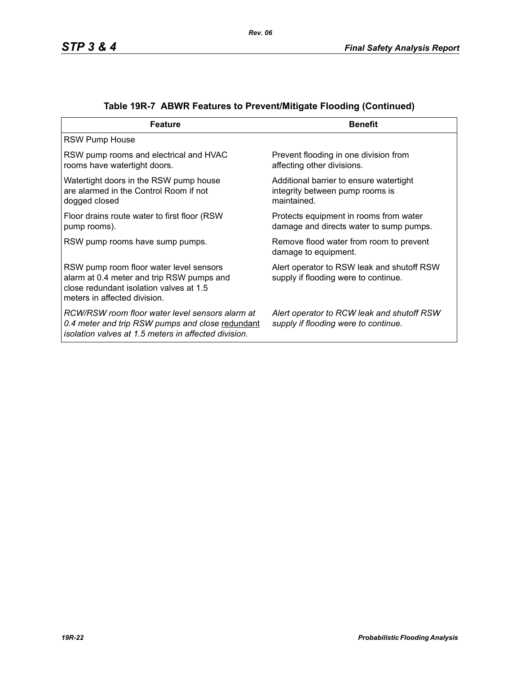| <b>Feature</b>                                                                                                                                                  | <b>Benefit</b>                                                                            |
|-----------------------------------------------------------------------------------------------------------------------------------------------------------------|-------------------------------------------------------------------------------------------|
| <b>RSW Pump House</b>                                                                                                                                           |                                                                                           |
| RSW pump rooms and electrical and HVAC<br>rooms have watertight doors.                                                                                          | Prevent flooding in one division from<br>affecting other divisions.                       |
| Watertight doors in the RSW pump house<br>are alarmed in the Control Room if not<br>dogged closed                                                               | Additional barrier to ensure watertight<br>integrity between pump rooms is<br>maintained. |
| Floor drains route water to first floor (RSW)<br>pump rooms).                                                                                                   | Protects equipment in rooms from water<br>damage and directs water to sump pumps.         |
| RSW pump rooms have sump pumps.                                                                                                                                 | Remove flood water from room to prevent<br>damage to equipment.                           |
| RSW pump room floor water level sensors<br>alarm at 0.4 meter and trip RSW pumps and<br>close redundant isolation valves at 1.5<br>meters in affected division. | Alert operator to RSW leak and shutoff RSW<br>supply if flooding were to continue.        |
| RCW/RSW room floor water level sensors alarm at<br>0.4 meter and trip RSW pumps and close redundant<br>isolation valves at 1.5 meters in affected division.     | Alert operator to RCW leak and shutoff RSW<br>supply if flooding were to continue.        |

|  | Table 19R-7 ABWR Features to Prevent/Mitigate Flooding (Continued) |  |  |  |
|--|--------------------------------------------------------------------|--|--|--|
|--|--------------------------------------------------------------------|--|--|--|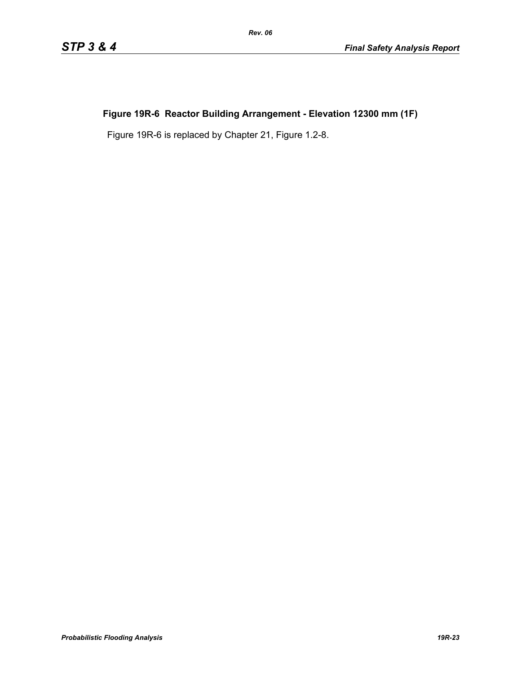# **Figure 19R-6 Reactor Building Arrangement - Elevation 12300 mm (1F)**

Figure 19R-6 is replaced by Chapter 21, Figure 1.2-8.